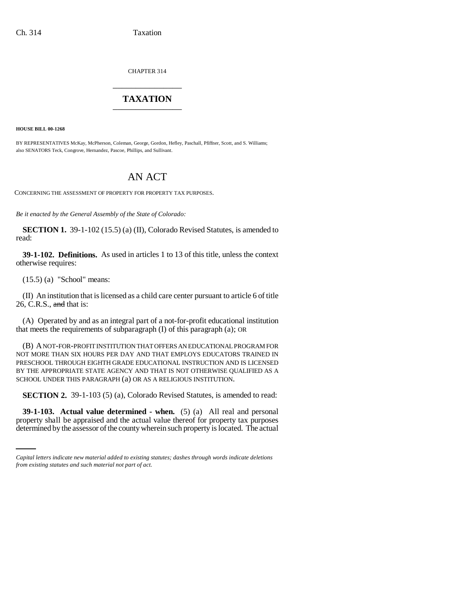CHAPTER 314 \_\_\_\_\_\_\_\_\_\_\_\_\_\_\_

# **TAXATION** \_\_\_\_\_\_\_\_\_\_\_\_\_\_\_

**HOUSE BILL 00-1268** 

BY REPRESENTATIVES McKay, McPherson, Coleman, George, Gordon, Hefley, Paschall, Pfiffner, Scott, and S. Williams; also SENATORS Teck, Congrove, Hernandez, Pascoe, Phillips, and Sullivant.

# AN ACT

CONCERNING THE ASSESSMENT OF PROPERTY FOR PROPERTY TAX PURPOSES.

*Be it enacted by the General Assembly of the State of Colorado:*

**SECTION 1.** 39-1-102 (15.5) (a) (II), Colorado Revised Statutes, is amended to read:

**39-1-102. Definitions.** As used in articles 1 to 13 of this title, unless the context otherwise requires:

(15.5) (a) "School" means:

(II) An institution that is licensed as a child care center pursuant to article 6 of title 26, C.R.S.,  $\frac{and}{end}$  that is:

(A) Operated by and as an integral part of a not-for-profit educational institution that meets the requirements of subparagraph (I) of this paragraph (a); OR

(B) A NOT-FOR-PROFIT INSTITUTION THAT OFFERS AN EDUCATIONAL PROGRAM FOR NOT MORE THAN SIX HOURS PER DAY AND THAT EMPLOYS EDUCATORS TRAINED IN PRESCHOOL THROUGH EIGHTH GRADE EDUCATIONAL INSTRUCTION AND IS LICENSED BY THE APPROPRIATE STATE AGENCY AND THAT IS NOT OTHERWISE QUALIFIED AS A SCHOOL UNDER THIS PARAGRAPH (a) OR AS A RELIGIOUS INSTITUTION.

**SECTION 2.** 39-1-103 (5) (a), Colorado Revised Statutes, is amended to read:

 **39-1-103. Actual value determined - when.** (5) (a) All real and personal property shall be appraised and the actual value thereof for property tax purposes determined by the assessor of the county wherein such property is located. The actual

*Capital letters indicate new material added to existing statutes; dashes through words indicate deletions from existing statutes and such material not part of act.*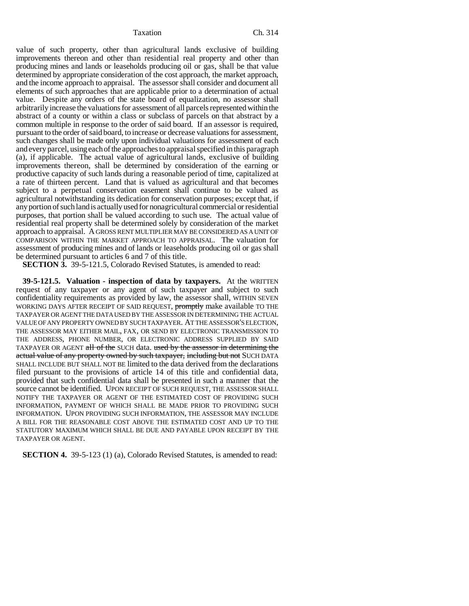Taxation Ch. 314

value of such property, other than agricultural lands exclusive of building improvements thereon and other than residential real property and other than producing mines and lands or leaseholds producing oil or gas, shall be that value determined by appropriate consideration of the cost approach, the market approach, and the income approach to appraisal. The assessor shall consider and document all elements of such approaches that are applicable prior to a determination of actual value. Despite any orders of the state board of equalization, no assessor shall arbitrarily increase the valuations for assessment of all parcels represented within the abstract of a county or within a class or subclass of parcels on that abstract by a common multiple in response to the order of said board. If an assessor is required, pursuant to the order of said board, to increase or decrease valuations for assessment, such changes shall be made only upon individual valuations for assessment of each and every parcel, using each of the approaches to appraisal specified in this paragraph (a), if applicable. The actual value of agricultural lands, exclusive of building improvements thereon, shall be determined by consideration of the earning or productive capacity of such lands during a reasonable period of time, capitalized at a rate of thirteen percent. Land that is valued as agricultural and that becomes subject to a perpetual conservation easement shall continue to be valued as agricultural notwithstanding its dedication for conservation purposes; except that, if any portion of such land is actually used for nonagricultural commercial or residential purposes, that portion shall be valued according to such use. The actual value of residential real property shall be determined solely by consideration of the market approach to appraisal. A GROSS RENT MULTIPLIER MAY BE CONSIDERED AS A UNIT OF COMPARISON WITHIN THE MARKET APPROACH TO APPRAISAL. The valuation for assessment of producing mines and of lands or leaseholds producing oil or gas shall be determined pursuant to articles 6 and 7 of this title.

**SECTION 3.** 39-5-121.5, Colorado Revised Statutes, is amended to read:

**39-5-121.5. Valuation - inspection of data by taxpayers.** At the WRITTEN request of any taxpayer or any agent of such taxpayer and subject to such confidentiality requirements as provided by law, the assessor shall, WITHIN SEVEN WORKING DAYS AFTER RECEIPT OF SAID REQUEST, promptly make available TO THE TAXPAYER OR AGENT THE DATA USED BY THE ASSESSOR IN DETERMINING THE ACTUAL VALUE OF ANY PROPERTY OWNED BY SUCH TAXPAYER. AT THE ASSESSOR'S ELECTION, THE ASSESSOR MAY EITHER MAIL, FAX, OR SEND BY ELECTRONIC TRANSMISSION TO THE ADDRESS, PHONE NUMBER, OR ELECTRONIC ADDRESS SUPPLIED BY SAID TAXPAYER OR AGENT all of the SUCH data. used by the assessor in determining the actual value of any property owned by such taxpayer, including but not SUCH DATA SHALL INCLUDE BUT SHALL NOT BE limited to the data derived from the declarations filed pursuant to the provisions of article 14 of this title and confidential data, provided that such confidential data shall be presented in such a manner that the source cannot be identified. UPON RECEIPT OF SUCH REQUEST, THE ASSESSOR SHALL NOTIFY THE TAXPAYER OR AGENT OF THE ESTIMATED COST OF PROVIDING SUCH INFORMATION, PAYMENT OF WHICH SHALL BE MADE PRIOR TO PROVIDING SUCH INFORMATION. UPON PROVIDING SUCH INFORMATION, THE ASSESSOR MAY INCLUDE A BILL FOR THE REASONABLE COST ABOVE THE ESTIMATED COST AND UP TO THE STATUTORY MAXIMUM WHICH SHALL BE DUE AND PAYABLE UPON RECEIPT BY THE TAXPAYER OR AGENT.

**SECTION 4.** 39-5-123 (1) (a), Colorado Revised Statutes, is amended to read: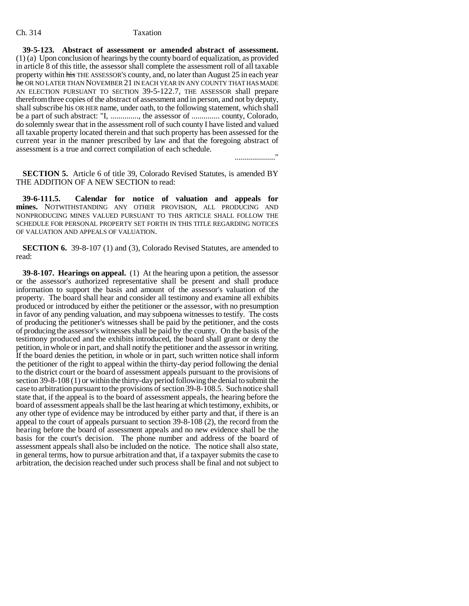### Ch. 314 Taxation

**39-5-123. Abstract of assessment or amended abstract of assessment.** (1) (a) Upon conclusion of hearings by the county board of equalization, as provided in article 8 of this title, the assessor shall complete the assessment roll of all taxable property within his THE ASSESSOR'S county, and, no later than August 25 in each year he OR NO LATER THAN NOVEMBER 21 IN EACH YEAR IN ANY COUNTY THAT HAS MADE AN ELECTION PURSUANT TO SECTION 39-5-122.7, THE ASSESSOR shall prepare therefrom three copies of the abstract of assessment and in person, and not by deputy, shall subscribe his OR HER name, under oath, to the following statement, which shall be a part of such abstract: "I, .............., the assessor of .............. county, Colorado, do solemnly swear that in the assessment roll of such county I have listed and valued all taxable property located therein and that such property has been assessed for the current year in the manner prescribed by law and that the foregoing abstract of assessment is a true and correct compilation of each schedule.

...................."

**SECTION 5.** Article 6 of title 39, Colorado Revised Statutes, is amended BY THE ADDITION OF A NEW SECTION to read:

**39-6-111.5. Calendar for notice of valuation and appeals for mines.** NOTWITHSTANDING ANY OTHER PROVISION, ALL PRODUCING AND NONPRODUCING MINES VALUED PURSUANT TO THIS ARTICLE SHALL FOLLOW THE SCHEDULE FOR PERSONAL PROPERTY SET FORTH IN THIS TITLE REGARDING NOTICES OF VALUATION AND APPEALS OF VALUATION.

**SECTION 6.** 39-8-107 (1) and (3), Colorado Revised Statutes, are amended to read:

**39-8-107. Hearings on appeal.** (1) At the hearing upon a petition, the assessor or the assessor's authorized representative shall be present and shall produce information to support the basis and amount of the assessor's valuation of the property. The board shall hear and consider all testimony and examine all exhibits produced or introduced by either the petitioner or the assessor, with no presumption in favor of any pending valuation, and may subpoena witnesses to testify. The costs of producing the petitioner's witnesses shall be paid by the petitioner, and the costs of producing the assessor's witnesses shall be paid by the county. On the basis of the testimony produced and the exhibits introduced, the board shall grant or deny the petition, in whole or in part, and shall notify the petitioner and the assessor in writing. If the board denies the petition, in whole or in part, such written notice shall inform the petitioner of the right to appeal within the thirty-day period following the denial to the district court or the board of assessment appeals pursuant to the provisions of section 39-8-108 (1) or within the thirty-day period following the denial to submit the case to arbitration pursuant to the provisions of section 39-8-108.5. Such notice shall state that, if the appeal is to the board of assessment appeals, the hearing before the board of assessment appeals shall be the last hearing at which testimony, exhibits, or any other type of evidence may be introduced by either party and that, if there is an appeal to the court of appeals pursuant to section 39-8-108 (2), the record from the hearing before the board of assessment appeals and no new evidence shall be the basis for the court's decision. The phone number and address of the board of assessment appeals shall also be included on the notice. The notice shall also state, in general terms, how to pursue arbitration and that, if a taxpayer submits the case to arbitration, the decision reached under such process shall be final and not subject to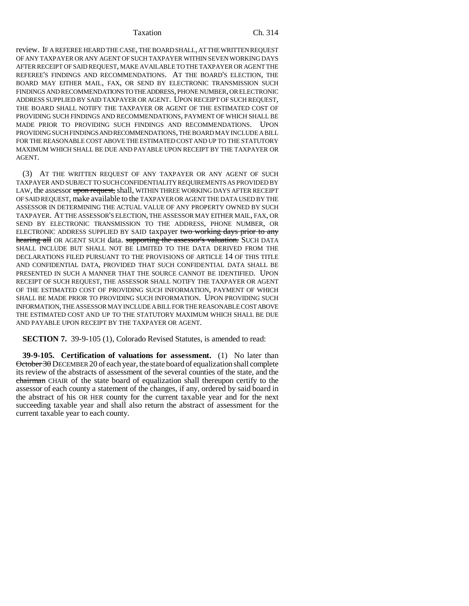### Taxation Ch. 314

review. IF A REFEREE HEARD THE CASE, THE BOARD SHALL, AT THE WRITTEN REQUEST OF ANY TAXPAYER OR ANY AGENT OF SUCH TAXPAYER WITHIN SEVEN WORKING DAYS AFTER RECEIPT OF SAID REQUEST, MAKE AVAILABLE TO THE TAXPAYER OR AGENT THE REFEREE'S FINDINGS AND RECOMMENDATIONS. AT THE BOARD'S ELECTION, THE BOARD MAY EITHER MAIL, FAX, OR SEND BY ELECTRONIC TRANSMISSION SUCH FINDINGS AND RECOMMENDATIONS TO THE ADDRESS, PHONE NUMBER, OR ELECTRONIC ADDRESS SUPPLIED BY SAID TAXPAYER OR AGENT. UPON RECEIPT OF SUCH REQUEST, THE BOARD SHALL NOTIFY THE TAXPAYER OR AGENT OF THE ESTIMATED COST OF PROVIDING SUCH FINDINGS AND RECOMMENDATIONS, PAYMENT OF WHICH SHALL BE MADE PRIOR TO PROVIDING SUCH FINDINGS AND RECOMMENDATIONS. UPON PROVIDING SUCH FINDINGS AND RECOMMENDATIONS, THE BOARD MAY INCLUDE A BILL FOR THE REASONABLE COST ABOVE THE ESTIMATED COST AND UP TO THE STATUTORY MAXIMUM WHICH SHALL BE DUE AND PAYABLE UPON RECEIPT BY THE TAXPAYER OR AGENT.

(3) AT THE WRITTEN REQUEST OF ANY TAXPAYER OR ANY AGENT OF SUCH TAXPAYER AND SUBJECT TO SUCH CONFIDENTIALITY REQUIREMENTS AS PROVIDED BY LAW, the assessor upon request, shall, WITHIN THREE WORKING DAYS AFTER RECEIPT OF SAID REQUEST, make available to the TAXPAYER OR AGENT THE DATA USED BY THE ASSESSOR IN DETERMINING THE ACTUAL VALUE OF ANY PROPERTY OWNED BY SUCH TAXPAYER. AT THE ASSESSOR'S ELECTION, THE ASSESSOR MAY EITHER MAIL, FAX, OR SEND BY ELECTRONIC TRANSMISSION TO THE ADDRESS, PHONE NUMBER, OR ELECTRONIC ADDRESS SUPPLIED BY SAID taxpayer two working days prior to any hearing all OR AGENT SUCH data. supporting the assessor's valuation. SUCH DATA SHALL INCLUDE BUT SHALL NOT BE LIMITED TO THE DATA DERIVED FROM THE DECLARATIONS FILED PURSUANT TO THE PROVISIONS OF ARTICLE 14 OF THIS TITLE AND CONFIDENTIAL DATA, PROVIDED THAT SUCH CONFIDENTIAL DATA SHALL BE PRESENTED IN SUCH A MANNER THAT THE SOURCE CANNOT BE IDENTIFIED. UPON RECEIPT OF SUCH REQUEST, THE ASSESSOR SHALL NOTIFY THE TAXPAYER OR AGENT OF THE ESTIMATED COST OF PROVIDING SUCH INFORMATION, PAYMENT OF WHICH SHALL BE MADE PRIOR TO PROVIDING SUCH INFORMATION. UPON PROVIDING SUCH INFORMATION, THE ASSESSOR MAY INCLUDE A BILL FOR THE REASONABLE COST ABOVE THE ESTIMATED COST AND UP TO THE STATUTORY MAXIMUM WHICH SHALL BE DUE AND PAYABLE UPON RECEIPT BY THE TAXPAYER OR AGENT.

**SECTION 7.** 39-9-105 (1), Colorado Revised Statutes, is amended to read:

**39-9-105. Certification of valuations for assessment.** (1) No later than October 30 DECEMBER 20 of each year, the state board of equalization shall complete its review of the abstracts of assessment of the several counties of the state, and the chairman CHAIR of the state board of equalization shall thereupon certify to the assessor of each county a statement of the changes, if any, ordered by said board in the abstract of his OR HER county for the current taxable year and for the next succeeding taxable year and shall also return the abstract of assessment for the current taxable year to each county.